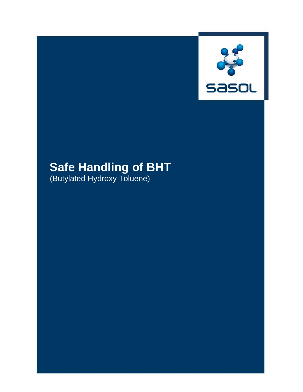

# **Safe Handling of BHT**

(Butylated Hydroxy Toluene)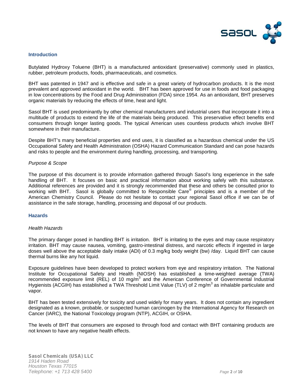

# **Introduction**

Butylated Hydroxy Toluene (BHT) is a manufactured antioxidant (preservative) commonly used in plastics, rubber, petroleum products, foods, pharmaceuticals, and cosmetics.

BHT was patented in 1947 and is effective and safe in a great variety of hydrocarbon products. It is the most prevalent and approved antioxidant in the world. BHT has been approved for use in foods and food packaging in low concentrations by the Food and Drug Administration (FDA) since 1954. As an antioxidant, BHT preserves organic materials by reducing the effects of time, heat and light.

Sasol BHT is used predominantly by other chemical manufacturers and industrial users that incorporate it into a multitude of products to extend the life of the materials being produced. This preservative effect benefits end consumers through longer lasting goods. The typical American uses countless products which involve BHT somewhere in their manufacture.

Despite BHT's many beneficial properties and end uses, it is classified as a hazardous chemical under the US Occupational Safety and Health Administration (OSHA) Hazard Communication Standard and can pose hazards and risks to people and the environment during handling, processing, and transporting.

#### *Purpose & Scope*

The purpose of this document is to provide information gathered through Sasol's long experience in the safe handling of BHT. It focuses on basic and practical information about working safely with this substance. Additional references are provided and it is strongly recommended that these and others be consulted prior to working with BHT. Sasol is globally committed to Responsible Care<sup>®</sup> principles and is a member of the American Chemistry Council. Please do not hesitate to contact your regional Sasol office if we can be of assistance in the safe storage, handling, processing and disposal of our products.

#### **Hazards**

#### *Health Hazards*

The primary danger posed in handling BHT is irritation. BHT is irritating to the eyes and may cause respiratory irritation. BHT may cause nausea, vomiting, gastro-intestinal distress, and narcotic effects if ingested in large doses well above the acceptable daily intake (ADI) of 0.3 mg/kg body weight (bw) /day. Liquid BHT can cause thermal burns like any hot liquid.

Exposure guidelines have been developed to protect workers from eye and respiratory irritation. The National Institute for Occupational Safety and Health (NIOSH) has established a time-weighted average (TWA) recommended exposure limit (REL) of 10 mg/m<sup>3</sup> and the American Conference of Governmental Industrial Hygienists (ACGIH) has established a TWA Threshold Limit Value (TLV) of 2 mg/m<sup>3</sup> as inhalable particulate and vapor.

BHT has been tested extensively for toxicity and used widely for many years. It does not contain any ingredient designated as a known, probable, or suspected human carcinogen by the International Agency for Research on Cancer (IARC), the National Toxicology program (NTP), ACGIH, or OSHA.

The levels of BHT that consumers are exposed to through food and contact with BHT containing products are not known to have any negative health effects.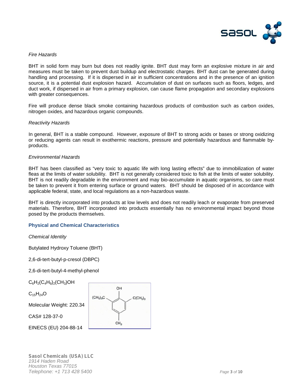

# *Fire Hazards*

BHT in solid form may burn but does not readily ignite. BHT dust may form an explosive mixture in air and measures must be taken to prevent dust buildup and electrostatic charges. BHT dust can be generated during handling and processing. If it is dispersed in air in sufficient concentrations and in the presence of an ignition source, it is a potential dust explosion hazard. Accumulation of dust on surfaces such as floors, ledges, and duct work, if dispersed in air from a primary explosion, can cause flame propagation and secondary explosions with greater consequences.

Fire will produce dense black smoke containing hazardous products of combustion such as carbon oxides, nitrogen oxides, and hazardous organic compounds.

# *Reactivity Hazards*

In general, BHT is a stable compound. However, exposure of BHT to strong acids or bases or strong oxidizing or reducing agents can result in exothermic reactions, pressure and potentially hazardous and flammable by products.

#### *Environmental Hazards*

BHT has been classified as "very toxic to aquatic life with long lasting effects" due to immobilization of water fleas at the limits of water solubility. BHT is not generally considered toxic to fish at the limits of water solubility. BHT is not readily degradable in the environment and may bio-accumulate in aquatic organisms, so care must be taken to prevent it from entering surface or ground waters. BHT should be disposed of in accordance with applicable federal, state, and local regulations as a non-hazardous waste.

BHT is directly incorporated into products at low levels and does not readily leach or evaporate from preserved materials. Therefore, BHT incorporated into products essentially has no environmental impact beyond those posed by the products themselves.

# **Physical and Chemical Characteristics**

*Chemical Identity*

Butylated Hydroxy Toluene (BHT)

2,6-di-tert-butyl-p-cresol (DBPC)

2,6-di-tert-butyl-4-methyl-phenol

 $C_6H_2(C_4H_9)_2(CH_3)OH$ 

 $C_{15}H_{24}O$ 

Molecular Weight: 220.34

CAS# 128-37-0

EINECS (EU) 204-88-14

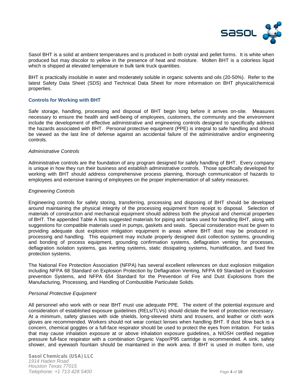

Sasol BHT is a solid at ambient temperatures and is produced in both crystal and pellet forms. It is white when produced but may discolor to yellow in the presence of heat and moisture. Molten BHT is a colorless liquid which is shipped at elevated temperature in bulk tank truck quantities.

BHT is practically insoluble in water and moderately soluble in organic solvents and oils (20-50%). Refer to the latest Safety Data Sheet (SDS) and Technical Data Sheet for more information on BHT physical/chemical properties.

#### **Controls for Working with BHT**

Safe storage, handling, processing and disposal of BHT begin long before it arrives on-site. Measures necessary to ensure the health and well-being of employees, customers, the community and the environment include the development of effective administrative and engineering controls designed to specifically address the hazards associated with BHT. Personal protective equipment (PPE) is integral to safe handling and should be viewed as the last line of defense against an accidental failure of the administrative and/or engineering controls.

#### *Administrative Controls*

Administrative controls are the foundation of any program designed for safely handling of BHT. Every company is unique in how they run their business and establish administrative controls. Those specifically developed for working with BHT should address comprehensive process planning, thorough communication of hazards to employees and extensive training of employees on the proper implementation of all safety measures.

#### *Engineering Controls*

Engineering controls for safely storing, transferring, processing and disposing of BHT should be developed around maintaining the physical integrity of the processing equipment from receipt to disposal. Selection of materials of construction and mechanical equipment should address both the physical and chemical properties of BHT. The appended Table A lists suggested materials for piping and tanks used for handling BHT, along with suggestions for compatible materials used in pumps, gaskets and seals. Special consideration must be given to providing adequate dust explosion mitigation equipment in areas where BHT dust may be produced in processing and handling. This equipment may include properly designed dust collection systems, grounding and bonding of process equipment, grounding confirmation systems, deflagration venting for processes, deflagration isolation systems, gas inerting systems, static dissipating systems, humidification, and fixed fire protection systems.

The National Fire Protection Association (NFPA) has several excellent references on dust explosion mitigation including NFPA 68 Standard on Explosion Protection by Deflagration Venting, NFPA 69 Standard on Explosion prevention Systems, and NFPA 654 Standard for the Prevention of Fire and Dust Explosions from the Manufacturing, Processing, and Handling of Combustible Particulate Solids.

#### *Personal Protective Equipment*

All personnel who work with or near BHT must use adequate PPE. The extent of the potential exposure and consideration of established exposure guidelines (RELs/TLVs) should dictate the level of protection necessary. At a minimum, safety glasses with side shields, long-sleeved shirts and trousers, and leather or cloth work gloves are recommended. Workers should not wear contact lenses when handling BHT. If dust blow back is a concern, chemical goggles or a full-face respirator should be used to protect the eyes from irritation. For tasks that may cause inhalation exposure at or above inhalation exposure guidelines, a NIOSH certified negative pressure full-face respirator with a combination Organic Vapor/P95 cartridge is recommended. A sink, safety shower, and eyewash fountain should be maintained in the work area. If BHT is used in molten form, use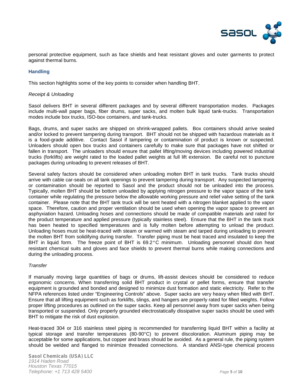

personal protective equipment, such as face shields and heat resistant gloves and outer garments to protect against thermal burns.

# **Handling**

This section highlights some of the key points to consider when handling BHT.

#### *Receipt & Unloading*

Sasol delivers BHT in several different packages and by several different transportation modes. Packages include multi-wall paper bags, fiber drums, super sacks, and molten bulk liquid tank-trucks. Transportation modes include box trucks, ISO-box containers, and tank-trucks.

Bags, drums, and super sacks are shipped on shrink-wrapped pallets. Box containers should arrive sealed and/or locked to prevent tampering during transport. BHT should not be shipped with hazardous materials as it is a food-grade additive. Contact Sasol if tampering or contamination of product is known or suspected. Unloaders should open box trucks and containers carefully to make sure that packages have not shifted or fallen in transport. The unloaders should ensure that pallet lifting/moving devices including powered industrial trucks (forklifts) are weight rated to the loaded pallet weights at full lift extension. Be careful not to puncture packages during unloading to prevent releases of BHT.

Several safety factors should be considered when unloading molten BHT in tank trucks. Tank trucks should arrive with cable car-seals on all tank openings to prevent tampering during transport. Any suspected tampering or contamination should be reported to Sasol and the product should not be unloaded into the process. Typically, molten BHT should be bottom unloaded by applying nitrogen pressure to the vapor space of the tank container while regulating the pressure below the allowable working pressure and relief valve setting of the tank container. Please note that the BHT tank truck will be sent heated with a nitrogen blanket applied to the vapor space. Therefore, caution and proper ventilation should be used when opening the vapor space to prevent an asphyxiation hazard. Unloading hoses and connections should be made of compatible materials and rated for the product temperature and applied pressure (typically stainless steel). Ensure that the BHT in the tank truck has been heated to specified temperatures and is fully molten before attempting to unload the product. Unloading hoses must be heat-traced with steam or warmed with steam and tarped during unloading to prevent the molten BHT from solidifying during transfer. Transfer piping must be heat traced and insulated to keep the BHT in liquid form. The freeze point of BHT is 69.2°C minimum. Unloading personnel should don heat resistant chemical suits and gloves and face shields to prevent thermal burns while making connections and during the unloading process.

# *Transfer*

If manually moving large quantities of bags or drums, lift-assist devices should be considered to reduce ergonomic concerns. When transferring solid BHT product in crystal or pellet forms, ensure that transfer equipment is grounded and bonded and designed to minimize dust formation and static electricity. Refer to the NFPA references listed under "Engineering Controls" above. Super sacks are very heavy when filled with BHT. Ensure that all lifting equipment such as forklifts, slings, and hangers are properly rated for filled weights. Follow proper lifting procedures as outlined on the super sacks. Keep all personnel away from super sacks when being transported or suspended. Only properly grounded electrostatically dissipative super sacks should be used with BHT to mitigate the risk of dust explosion.

Heat-traced 304 or 316 stainless steel piping is recommended for transferring liquid BHT within a facility at typical storage and transfer temperatures (80-90°C) to prevent discoloration. Aluminum piping may be acceptable for some applications, but copper and brass should be avoided. As a general rule, the piping system should be welded and flanged to minimize threaded connections. A standard ANSI-type chemical process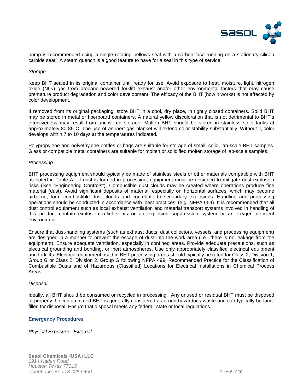

pump is recommended using a single rotating bellows seal with a carbon face running on a stationary silicon carbide seat. A steam quench is a good feature to have for a seal in this type of service.

#### *Storage*

Keep BHT sealed in its original container until ready for use. Avoid exposure to heat, moisture, light, nitrogen oxide ( $NO<sub>x</sub>$ ) gas from propane-powered forklift exhaust and/or other environmental factors that may cause premature product degradation and color development. The efficacy of the BHT (how it works) is not affected by color development.

If removed from its original packaging, store BHT in a cool, dry place, in tightly closed containers. Solid BHT may be stored in metal or fiberboard containers. A natural yellow discoloration that is not detrimental to BHT's effectiveness may result from uncovered storage. Molten BHT should be stored in stainless steel tanks at approximately 80-85°C. The use of an inert gas blanket will extend color stability substantially. Without it, color develops within 7 to 10 days at the temperatures indicated.

Polypropylene and polyethylene bottles or bags are suitable for storage of small, solid, lab-scale BHT samples. Glass or compatible metal containers are suitable for molten or solidified molten storage of lab-scale samples.

#### *Processing*

BHT processing equipment should typically be made of stainless steels or other materials compatible with BHT as noted in Table A. If dust is formed in processing, equipment must be designed to mitigate dust explosion risks (See "Engineering Controls"). Combustible dust clouds may be created where operations produce fine material (dust). Avoid significant deposits of material, especially on horizontal surfaces, which may become airborne, form combustible dust clouds and contribute to secondary explosions. Handling and processing operations should be conducted in accordance with 'best practices' (e.g. NFPA 654). It is recommended that all dust control equipment such as local exhaust ventilation and material transport systems involved in handling of this product contain explosion relief vents or an explosion suppression system or an oxygen deficient environment.

Ensure that dust-handling systems (such as exhaust ducts, dust collectors, vessels, and processing equipment) are designed in a manner to prevent the escape of dust into the work area (i.e., there is no leakage from the equipment). Ensure adequate ventilation, especially in confined areas. Provide adequate precautions, such as electrical grounding and bonding, or inert atmospheres. Use only appropriately classified electrical equipment and forklifts. Electrical equipment used in BHT processing areas should typically be rated for Class 2, Division 1, Group G or Class 2, Division 2, Group G following NFPA 499: Recommended Practice for the Classification of Combustible Dusts and of Hazardous (Classified) Locations for Electrical Installations in Chemical Process Areas.

#### *Disposal*

Ideally, all BHT should be consumed or recycled in processing. Any unused or residual BHT must be disposed of properly. Uncontaminated BHT is generally considered as a non-hazardous waste and can typically be landfilled for disposal. Ensure that disposal meets any federal, state or local regulations.

# **Emergency Procedures**

*Physical Exposure - External*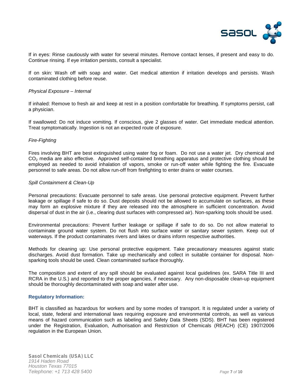

If in eyes: Rinse cautiously with water for several minutes. Remove contact lenses, if present and easy to do. Continue rinsing. If eye irritation persists, consult a specialist.

If on skin: Wash off with soap and water. Get medical attention if irritation develops and persists. Wash contaminated clothing before reuse.

# *Physical Exposure – Internal*

If inhaled: Remove to fresh air and keep at rest in a position comfortable for breathing. If symptoms persist, call a physician.

If swallowed: Do not induce vomiting. If conscious, give 2 glasses of water. Get immediate medical attention. Treat symptomatically. Ingestion is not an expected route of exposure.

# *Fire-Fighting*

Fires involving BHT are best extinguished using water fog or foam. Do not use a water jet. Dry chemical and CO<sub>2</sub> media are also effective. Approved self-contained breathing apparatus and protective clothing should be employed as needed to avoid inhalation of vapors, smoke or run-off water while fighting the fire. Evacuate personnel to safe areas. Do not allow run-off from firefighting to enter drains or water courses.

#### *Spill Containment & Clean-Up*

Personal precautions: Evacuate personnel to safe areas. Use personal protective equipment. Prevent further leakage or spillage if safe to do so. Dust deposits should not be allowed to accumulate on surfaces, as these may form an explosive mixture if they are released into the atmosphere in sufficient concentration. Avoid dispersal of dust in the air (i.e., clearing dust surfaces with compressed air). Non-sparking tools should be used.

Environmental precautions: Prevent further leakage or spillage if safe to do so. Do not allow material to contaminate ground water system. Do not flush into surface water or sanitary sewer system. Keep out of waterways. If the product contaminates rivers and lakes or drains inform respective authorities.

Methods for cleaning up: Use personal protective equipment. Take precautionary measures against static discharges. Avoid dust formation. Take up mechanically and collect in suitable container for disposal. Non sparking tools should be used. Clean contaminated surface thoroughly.

The composition and extent of any spill should be evaluated against local guidelines (ex. SARA Title III and RCRA in the U.S.) and reported to the proper agencies, if necessary. Any non-disposable clean-up equipment should be thoroughly decontaminated with soap and water after use.

# **Regulatory Information:**

BHT is classified as hazardous for workers and by some modes of transport. It is regulated under a variety of local, state, federal and international laws requiring exposure and environmental controls, as well as various means of hazard communication such as labeling and Safety Data Sheets (SDS). BHT has been registered under the Registration, Evaluation, Authorisation and Restriction of Chemicals (REACH) (CE) 1907/2006 regulation in the European Union.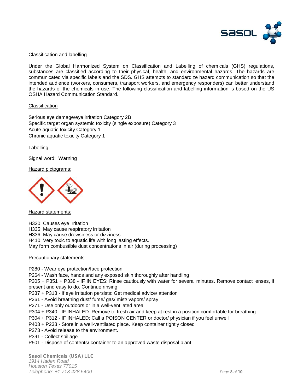

# Classification and labelling

Under the Global Harmonized System on Classification and Labelling of chemicals (GHS) regulations, substances are classified according to their physical, health, and environmental hazards. The hazards are communicated via specific labels and the SDS. GHS attempts to standardize hazard communication so that the intended audience (workers, consumers, transport workers, and emergency responders) can better understand the hazards of the chemicals in use. The following classification and labelling information is based on the US OSHA Hazard Communication Standard.

#### Classification

Serious eye damage/eye irritation Category 2B Specific target organ systemic toxicity (single exposure) Category 3 Acute aquatic toxicity Category 1 Chronic aquatic toxicity Category 1

Labelling

Signal word: Warning

Hazard pictograms:



**Hazard statements:** 

H320: Causes eye irritation H335: May cause respiratory irritation H336: May cause drowsiness or dizziness H410: Very toxic to aquatic life with long lasting effects. May form combustible dust concentrations in air (during processing)

#### Precautionary statements:

P280 - Wear eye protection/face protection

P264 - Wash face, hands and any exposed skin thoroughly after handling

P305 + P351 + P338 - IF IN EYES: Rinse cautiously with water for several minutes. Remove contact lenses, if present and easy to do. Continue rinsing

- P337 + P313 If eye irritation persists: Get medical advice/ attention
- P261 Avoid breathing dust/ fume/ gas/ mist/ vapors/ spray
- P271 Use only outdoors or in a well-ventilated area
- P304 + P340 IF INHALED: Remove to fresh air and keep at rest in a position comfortable for breathing
- P304 + P312 IF INHALED: Call a POISON CENTER or doctor/ physician if you feel unwell
- P403 + P233 Store in a well-ventilated place. Keep container tightly closed
- P273 Avoid release to the environment.
- P391 Collect spillage.
- P501 Dispose of contents/ container to an approved waste disposal plant.

*Sasol Chemicals (USA) LLC 1914 Haden Road Houston Texas 77015 Telephone: +1 713 428 5400 Page 8 of 10*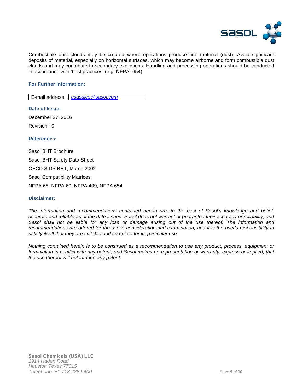

Combustible dust clouds may be created where operations produce fine material (dust). Avoid significant deposits of material, especially on horizontal surfaces, which may become airborne and form combustible dust clouds and may contribute to secondary explosions. Handling and processing operations should be conducted in accordance with 'best practices' (e.g. NFPA- 654)

# **For Further Information:**

E-mail address *usasales@sasol.com*

**Date of Issue:** December 27, 2016 Revision: 0

**References:**

Sasol BHT Brochure Sasol BHT Safety Data Sheet OECD SIDS BHT, March 2002 Sasol Compatibility Matrices NFPA 68, NFPA 69, NFPA 499, NFPA 654

# **Disclaimer:**

*The information and recommendations contained herein are, to the best of Sasol's knowledge and belief, accurate and reliable as of the date issued. Sasol does not warrant or guarantee their accuracy or reliability, and Sasol shall not be liable for any loss or damage arising out of the use thereof. The information and recommendations are offered for the user's consideration and examination, and it is the user's responsibility to satisfy itself that they are suitable and complete for its particular use.*

*Nothing contained herein is to be construed as a recommendation to use any product, process, equipment or formulation in conflict with any patent, and Sasol makes no representation or warranty, express or implied, that the use thereof will not infringe any patent.*